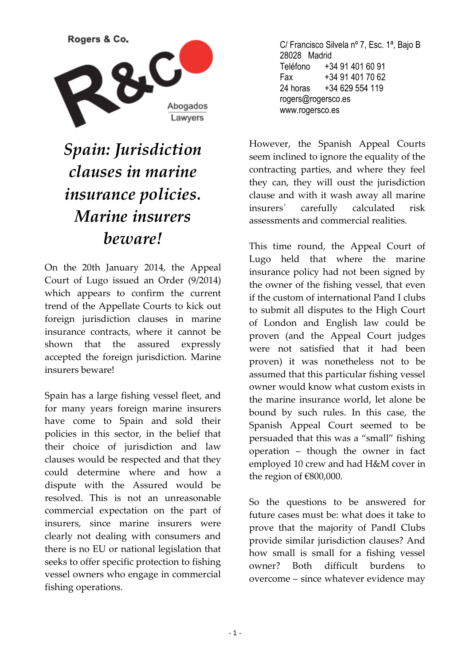

## *Spain: Jurisdiction clauses in marine insurance policies. Marine insurers beware!*

On the 20th January 2014, the Appeal Court of Lugo issued an Order (9/2014) which appears to confirm the current trend of the Appellate Courts to kick out foreign jurisdiction clauses in marine insurance contracts, where it cannot be shown that the assured expressly accepted the foreign jurisdiction. Marine insurers beware!

Spain has a large fishing vessel fleet, and for many years foreign marine insurers have come to Spain and sold their policies in this sector, in the belief that their choice of jurisdiction and law clauses would be respected and that they could determine where and how a dispute with the Assured would be resolved. This is not an unreasonable commercial expectation on the part of insurers, since marine insurers were clearly not dealing with consumers and there is no EU or national legislation that seeks to offer specific protection to fishing vessel owners who engage in commercial fishing operations.

C/ Francisco Silvela nº 7, Esc. 1ª, Bajo B 28028 Madrid Teléfono +34 91 401 60 91 Fax +34 91 401 70 62 24 horas +34 629 554 119 rogers@rogersco.es www.rogersco.es

However, the Spanish Appeal Courts seem inclined to ignore the equality of the contracting parties, and where they feel they can, they will oust the jurisdiction clause and with it wash away all marine insurers´ carefully calculated risk assessments and commercial realities.

This time round, the Appeal Court of Lugo held that where the marine insurance policy had not been signed by the owner of the fishing vessel, that even if the custom of international Pand I clubs to submit all disputes to the High Court of London and English law could be proven (and the Appeal Court judges were not satisfied that it had been proven) it was nonetheless not to be assumed that this particular fishing vessel owner would know what custom exists in the marine insurance world, let alone be bound by such rules. In this case, the Spanish Appeal Court seemed to be persuaded that this was a "small" fishing operation – though the owner in fact employed 10 crew and had H&M cover in the region of €800,000.

So the questions to be answered for future cases must be: what does it take to prove that the majority of PandI Clubs provide similar jurisdiction clauses? And how small is small for a fishing vessel owner? Both difficult burdens to overcome – since whatever evidence may